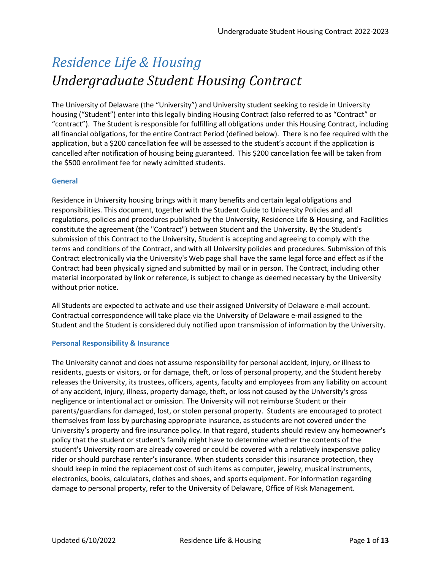# *Residence Life & Housing Undergraduate Student Housing Contract*

The University of Delaware (the "University") and University student seeking to reside in University housing ("Student") enter into this legally binding Housing Contract (also referred to as "Contract" or "contract"). The Student is responsible for fulfilling all obligations under this Housing Contract, including all financial obligations, for the entire Contract Period (defined below). There is no fee required with the application, but a \$200 cancellation fee will be assessed to the student's account if the application is cancelled after notification of housing being guaranteed. This \$200 cancellation fee will be taken from the \$500 enrollment fee for newly admitted students.

# **General**

Residence in University housing brings with it many benefits and certain legal obligations and responsibilities. This document, together with the Student Guide to University Policies and all regulations, policies and procedures published by the University, Residence Life & Housing, and Facilities constitute the agreement (the "Contract") between Student and the University. By the Student's submission of this Contract to the University, Student is accepting and agreeing to comply with the terms and conditions of the Contract, and with all University policies and procedures. Submission of this Contract electronically via the University's Web page shall have the same legal force and effect as if the Contract had been physically signed and submitted by mail or in person. The Contract, including other material incorporated by link or reference, is subject to change as deemed necessary by the University without prior notice.

All Students are expected to activate and use their assigned University of Delaware e-mail account. Contractual correspondence will take place via the University of Delaware e-mail assigned to the Student and the Student is considered duly notified upon transmission of information by the University.

# **Personal Responsibility & Insurance**

The University cannot and does not assume responsibility for personal accident, injury, or illness to residents, guests or visitors, or for damage, theft, or loss of personal property, and the Student hereby releases the University, its trustees, officers, agents, faculty and employees from any liability on account of any accident, injury, illness, property damage, theft, or loss not caused by the University's gross negligence or intentional act or omission. The University will not reimburse Student or their parents/guardians for damaged, lost, or stolen personal property. Students are encouraged to protect themselves from loss by purchasing appropriate insurance, as students are not covered under the University's property and fire insurance policy. In that regard, students should review any homeowner's policy that the student or student's family might have to determine whether the contents of the student's University room are already covered or could be covered with a relatively inexpensive policy rider or should purchase renter's insurance. When students consider this insurance protection, they should keep in mind the replacement cost of such items as computer, jewelry, musical instruments, electronics, books, calculators, clothes and shoes, and sports equipment. For information regarding damage to personal property, refer to the University of Delaware, Office of Risk Management.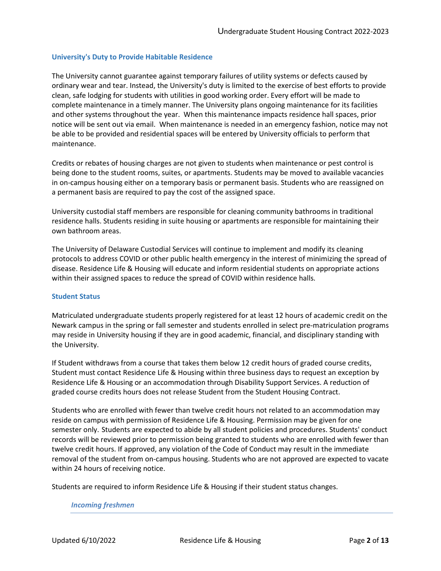## **University's Duty to Provide Habitable Residence**

The University cannot guarantee against temporary failures of utility systems or defects caused by ordinary wear and tear. Instead, the University's duty is limited to the exercise of best efforts to provide clean, safe lodging for students with utilities in good working order. Every effort will be made to complete maintenance in a timely manner. The University plans ongoing maintenance for its facilities and other systems throughout the year. When this maintenance impacts residence hall spaces, prior notice will be sent out via email. When maintenance is needed in an emergency fashion, notice may not be able to be provided and residential spaces will be entered by University officials to perform that maintenance.

Credits or rebates of housing charges are not given to students when maintenance or pest control is being done to the student rooms, suites, or apartments. Students may be moved to available vacancies in on-campus housing either on a temporary basis or permanent basis. Students who are reassigned on a permanent basis are required to pay the cost of the assigned space.

University custodial staff members are responsible for cleaning community bathrooms in traditional residence halls. Students residing in suite housing or apartments are responsible for maintaining their own bathroom areas.

The University of Delaware Custodial Services will continue to implement and modify its cleaning protocols to address COVID or other public health emergency in the interest of minimizing the spread of disease. Residence Life & Housing will educate and inform residential students on appropriate actions within their assigned spaces to reduce the spread of COVID within residence halls.

#### **Student Status**

Matriculated undergraduate students properly registered for at least 12 hours of academic credit on the Newark campus in the spring or fall semester and students enrolled in select pre-matriculation programs may reside in University housing if they are in good academic, financial, and disciplinary standing with the University.

If Student withdraws from a course that takes them below 12 credit hours of graded course credits, Student must contact Residence Life & Housing within three business days to request an exception by Residence Life & Housing or an accommodation through Disability Support Services. A reduction of graded course credits hours does not release Student from the Student Housing Contract.

Students who are enrolled with fewer than twelve credit hours not related to an accommodation may reside on campus with permission of Residence Life & Housing. Permission may be given for one semester only. Students are expected to abide by all student policies and procedures. Students' conduct records will be reviewed prior to permission being granted to students who are enrolled with fewer than twelve credit hours. If approved, any violation of the Code of Conduct may result in the immediate removal of the student from on-campus housing. Students who are not approved are expected to vacate within 24 hours of receiving notice.

Students are required to inform Residence Life & Housing if their student status changes.

#### *[Incoming](http://www.udel.edu/reslife/community_living/5) freshmen*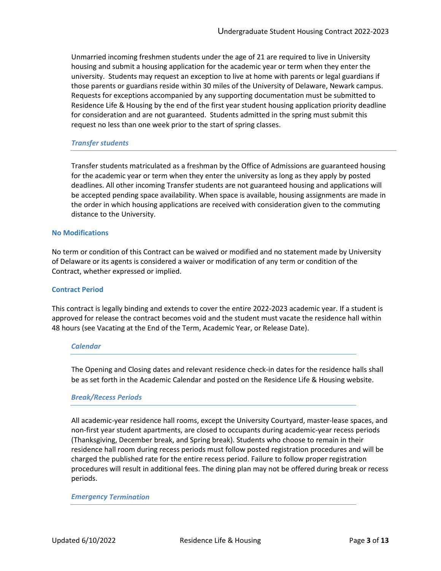Unmarried incoming freshmen students under the age of 21 are required to live in University housing and submit a housing application for the academic year or term when they enter the university. Students may request an exception to live at home with parents or legal guardians if those parents or guardians reside within 30 miles of the University of Delaware, Newark campus. Requests for exceptions accompanied by any supporting documentation must be submitted to Residence Life & Housing by the end of the first year student housing application priority deadline for consideration and are not guaranteed. Students admitted in the spring must submit this request no less than one week prior to the start of spring classes.

## *[Transfer](http://www.udel.edu/reslife/community_living/5) students*

Transfer students matriculated as a freshman by the Office of Admissions are guaranteed housing for the academic year or term when they enter the university as long as they apply by posted deadlines. All other incoming Transfer students are not guaranteed housing and applications will be accepted pending space availability. When space is available, housing assignments are made in the order in which housing applications are received with consideration given to the commuting distance to the University.

#### **No Modifications**

No term or condition of this Contract can be waived or modified and no statement made by University of Delaware or its agents is considered a waiver or modification of any term or condition of the Contract, whether expressed or implied.

### **Contract Period**

This contract is legally binding and extends to cover the entire 2022-2023 academic year. If a student is approved for release the contract becomes void and the student must vacate the residence hall within 48 hours (see Vacating at the End of the Term, Academic Year, or Release Date).

#### *[Calendar](http://www.udel.edu/reslife/community_living/5)*

The Opening and Closing dates and relevant residence check-in dates for the residence halls shall be as set forth in the Academic Calendar and posted on the Residence Life & Housing website.

#### *[Break/Recess Periods](http://www.udel.edu/reslife/community_living/5-1)*

All academic-year residence hall rooms, except the University Courtyard, master-lease spaces, and non-first year student apartments, are closed to occupants during academic-year recess periods (Thanksgiving, December break, and Spring break). Students who choose to remain in their residence hall room during recess periods must follow posted registration procedures and will be charged the published rate for the entire recess period. Failure to follow proper registration procedures will result in additional fees. The dining plan may not be offered during break or recess periods.

#### *[Emergency](http://www.udel.edu/reslife/community_living/5-1) Termination*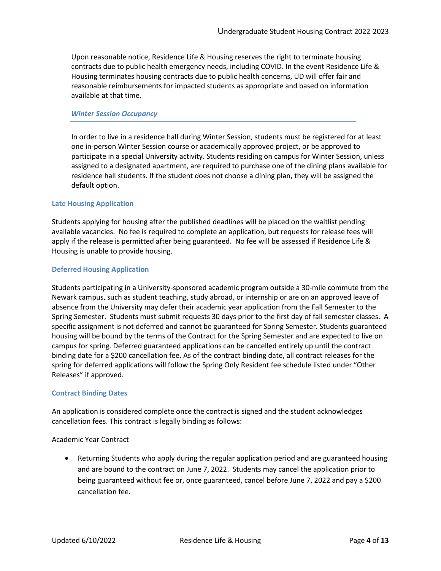Upon reasonable notice, Residence Life & Housing reserves the right to terminate housing contracts due to public health emergency needs, including COVID. In the event Residence Life & Housing terminates housing contracts due to public health concerns, UD will offer fair and reasonable reimbursements for impacted students as appropriate and based on information available at that time.

### *[Winter Session Occupancy](http://www.udel.edu/reslife/community_living/12)*

In order to live in a residence hall during Winter Session, students must be registered for at least one in-person Winter Session course or academically approved project, or be approved to participate in a special University activity. Students residing on campus for Winter Session, unless assigned to a designated apartment, are required to purchase one of the dining plans available for residence hall students. If the student does not choose a dining plan, they will be assigned the default option.

## **Late Housing Application**

Students applying for housing after the published deadlines will be placed on the waitlist pending available vacancies. No fee is required to complete an application, but requests for release fees will apply if the release is permitted after being guaranteed. No fee will be assessed if Residence Life & Housing is unable to provide housing.

## **Deferred Housing Application**

Students participating in a University-sponsored academic program outside a 30-mile commute from the Newark campus, such as student teaching, study abroad, or internship or are on an approved leave of absence from the University may defer their academic year application from the Fall Semester to the Spring Semester. Students must submit requests 30 days prior to the first day of fall semester classes. A specific assignment is not deferred and cannot be guaranteed for Spring Semester. Students guaranteed housing will be bound by the terms of the Contract for the Spring Semester and are expected to live on campus for spring. Deferred guaranteed applications can be cancelled entirely up until the contract binding date for a \$200 cancellation fee. As of the contract binding date, all contract releases for the spring for deferred applications will follow the Spring Only Resident fee schedule listed under "Other Releases" if approved.

#### **Contract Binding Dates**

An application is considered complete once the contract is signed and the student acknowledges cancellation fees. This contract is legally binding as follows:

#### Academic Year Contract

• Returning Students who apply during the regular application period and are guaranteed housing and are bound to the contract on June 7, 2022. Students may cancel the application prior to being guaranteed without fee or, once guaranteed, cancel before June 7, 2022 and pay a \$200 cancellation fee.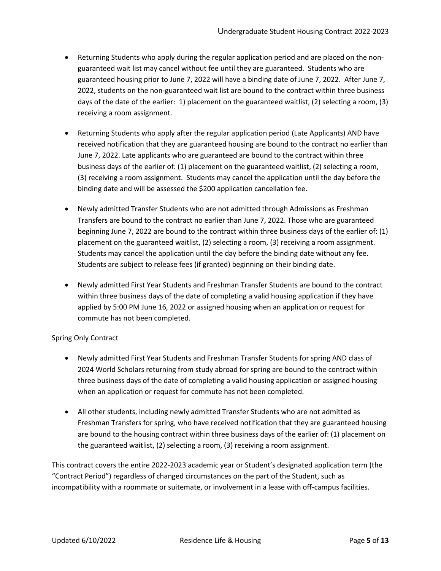- Returning Students who apply during the regular application period and are placed on the nonguaranteed wait list may cancel without fee until they are guaranteed. Students who are guaranteed housing prior to June 7, 2022 will have a binding date of June 7, 2022. After June 7, 2022, students on the non-guaranteed wait list are bound to the contract within three business days of the date of the earlier: 1) placement on the guaranteed waitlist, (2) selecting a room, (3) receiving a room assignment.
- Returning Students who apply after the regular application period (Late Applicants) AND have received notification that they are guaranteed housing are bound to the contract no earlier than June 7, 2022. Late applicants who are guaranteed are bound to the contract within three business days of the earlier of: (1) placement on the guaranteed waitlist, (2) selecting a room, (3) receiving a room assignment. Students may cancel the application until the day before the binding date and will be assessed the \$200 application cancellation fee.
- Newly admitted Transfer Students who are not admitted through Admissions as Freshman Transfers are bound to the contract no earlier than June 7, 2022. Those who are guaranteed beginning June 7, 2022 are bound to the contract within three business days of the earlier of: (1) placement on the guaranteed waitlist, (2) selecting a room, (3) receiving a room assignment. Students may cancel the application until the day before the binding date without any fee. Students are subject to release fees (if granted) beginning on their binding date.
- Newly admitted First Year Students and Freshman Transfer Students are bound to the contract within three business days of the date of completing a valid housing application if they have applied by 5:00 PM June 16, 2022 or assigned housing when an application or request for commute has not been completed.

# Spring Only Contract

- Newly admitted First Year Students and Freshman Transfer Students for spring AND class of 2024 World Scholars returning from study abroad for spring are bound to the contract within three business days of the date of completing a valid housing application or assigned housing when an application or request for commute has not been completed.
- All other students, including newly admitted Transfer Students who are not admitted as Freshman Transfers for spring, who have received notification that they are guaranteed housing are bound to the housing contract within three business days of the earlier of: (1) placement on the guaranteed waitlist, (2) selecting a room, (3) receiving a room assignment.

This contract covers the entire 2022-2023 academic year or Student's designated application term (the "Contract Period") regardless of changed circumstances on the part of the Student, such as incompatibility with a roommate or suitemate, or involvement in a lease with off-campus facilities.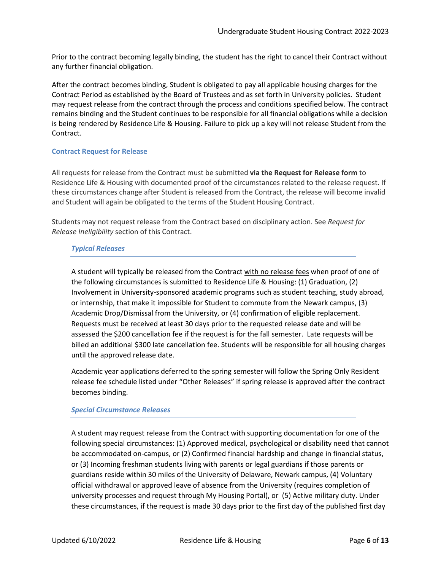Prior to the contract becoming legally binding, the student has the right to cancel their Contract without any further financial obligation.

After the contract becomes binding, Student is obligated to pay all applicable housing charges for the Contract Period as established by the Board of Trustees and as set forth in University policies. Student may request release from the contract through the process and conditions specified below. The contract remains binding and the Student continues to be responsible for all financial obligations while a decision is being rendered by Residence Life & Housing. Failure to pick up a key will not release Student from the Contract.

# **Contract Request for Release**

All requests for release from the Contract must be submitted **[via the Request for Release form](http://www.udel.edu/housingcancel)** to Residence Life & Housing with documented proof of the circumstances related to the release request. If these circumstances change after Student is released from the Contract, the release will become invalid and Student will again be obligated to the terms of the Student Housing Contract.

Students may not request release from the Contract based on disciplinary action. See *Request for Release Ineligibility* section of this Contract.

## *Typical Releases*

A student will typically be released from the Contract with no release fees when proof of one of the following circumstances is submitted to Residence Life & Housing: (1) Graduation, (2) Involvement in University-sponsored academic programs such as student teaching, study abroad, or internship, that make it impossible for Student to commute from the Newark campus, (3) Academic Drop/Dismissal from the University, or (4) confirmation of eligible replacement. Requests must be received at least 30 days prior to the requested release date and will be assessed the \$200 cancellation fee if the request is for the fall semester. Late requests will be billed an additional \$300 late cancellation fee. Students will be responsible for all housing charges until the approved release date.

Academic year applications deferred to the spring semester will follow the Spring Only Resident release fee schedule listed under "Other Releases" if spring release is approved after the contract becomes binding.

#### *Special Circumstance Releases*

A student may request release from the Contract with supporting documentation for one of the following special circumstances: (1) Approved medical, psychological or disability need that cannot be accommodated on-campus, or (2) Confirmed financial hardship and change in financial status, or (3) Incoming freshman students living with parents or legal guardians if those parents or guardians reside within 30 miles of the University of Delaware, Newark campus, (4) Voluntary official withdrawal or approved leave of absence from the University (requires completion of university processes and request through My Housing Portal), or (5) Active military duty. Under these circumstances, if the request is made 30 days prior to the first day of the published first day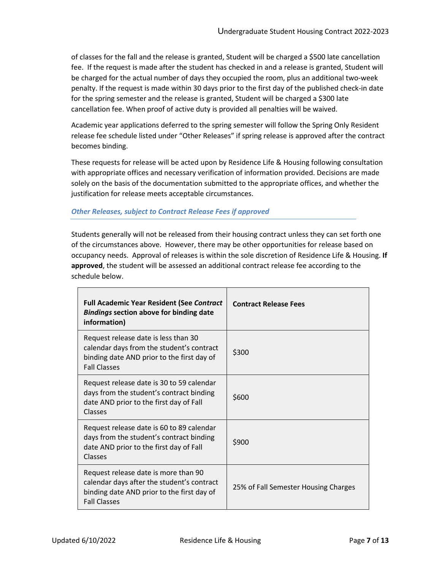of classes for the fall and the release is granted, Student will be charged a \$500 late cancellation fee. If the request is made after the student has checked in and a release is granted, Student will be charged for the actual number of days they occupied the room, plus an additional two-week penalty. If the request is made within 30 days prior to the first day of the published check-in date for the spring semester and the release is granted, Student will be charged a \$300 late cancellation fee. When proof of active duty is provided all penalties will be waived.

Academic year applications deferred to the spring semester will follow the Spring Only Resident release fee schedule listed under "Other Releases" if spring release is approved after the contract becomes binding.

These requests for release will be acted upon by Residence Life & Housing following consultation with appropriate offices and necessary verification of information provided. Decisions are made solely on the basis of the documentation submitted to the appropriate offices, and whether the justification for release meets acceptable circumstances.

# *Other Releases, subject to Contract Release Fees if approved*

Students generally will not be released from their housing contract unless they can set forth one of the circumstances above. However, there may be other opportunities for release based on occupancy needs. Approval of releases is within the sole discretion of Residence Life & Housing. **If approved**, the student will be assessed an additional contract release fee according to the schedule below.

| <b>Full Academic Year Resident (See Contract</b><br><b>Bindings section above for binding date</b><br>information)                                      | <b>Contract Release Fees</b>         |
|---------------------------------------------------------------------------------------------------------------------------------------------------------|--------------------------------------|
| Request release date is less than 30<br>calendar days from the student's contract<br>binding date AND prior to the first day of<br><b>Fall Classes</b>  | \$300                                |
| Request release date is 30 to 59 calendar<br>days from the student's contract binding<br>date AND prior to the first day of Fall<br>Classes             | \$600                                |
| Request release date is 60 to 89 calendar<br>days from the student's contract binding<br>date AND prior to the first day of Fall<br>Classes             | \$900                                |
| Request release date is more than 90<br>calendar days after the student's contract<br>binding date AND prior to the first day of<br><b>Fall Classes</b> | 25% of Fall Semester Housing Charges |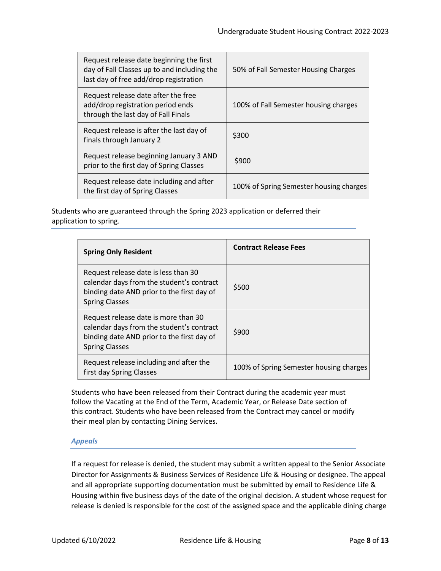| Request release date beginning the first<br>day of Fall Classes up to and including the<br>last day of free add/drop registration | 50% of Fall Semester Housing Charges    |
|-----------------------------------------------------------------------------------------------------------------------------------|-----------------------------------------|
| Request release date after the free<br>add/drop registration period ends<br>through the last day of Fall Finals                   | 100% of Fall Semester housing charges   |
| Request release is after the last day of<br>finals through January 2                                                              | \$300                                   |
| Request release beginning January 3 AND<br>prior to the first day of Spring Classes                                               | \$900                                   |
| Request release date including and after<br>the first day of Spring Classes                                                       | 100% of Spring Semester housing charges |

Students who are guaranteed through the Spring 2023 application or deferred their application to spring.

| <b>Spring Only Resident</b>                                                                                                                              | <b>Contract Release Fees</b>            |
|----------------------------------------------------------------------------------------------------------------------------------------------------------|-----------------------------------------|
| Request release date is less than 30<br>calendar days from the student's contract<br>binding date AND prior to the first day of<br><b>Spring Classes</b> | \$500                                   |
| Request release date is more than 30<br>calendar days from the student's contract<br>binding date AND prior to the first day of<br><b>Spring Classes</b> | \$900                                   |
| Request release including and after the<br>first day Spring Classes                                                                                      | 100% of Spring Semester housing charges |

Students who have been released from their Contract during the academic year must follow the Vacating at the End of the Term, Academic Year, or Release Date section of this contract. Students who have been released from the Contract may cancel or modify their meal plan by contacting Dining Services.

# *Appeals*

If a request for release is denied, the student may submit a written appeal to the Senior Associate Director for Assignments & Business Services of Residence Life & Housing or designee. The appeal and all appropriate supporting documentation must be submitted by email to Residence Life & Housing within five business days of the date of the original decision. A student whose request for release is denied is responsible for the cost of the assigned space and the applicable dining charge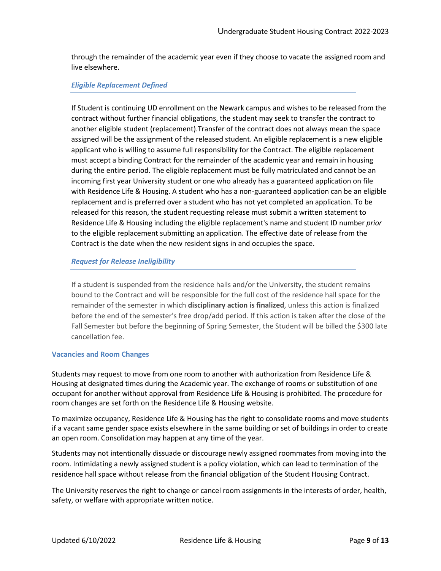through the remainder of the academic year even if they choose to vacate the assigned room and live elsewhere.

## *Eligible Replacement Defined*

If Student is continuing UD enrollment on the Newark campus and wishes to be released from the contract without further financial obligations, the student may seek to transfer the contract to another eligible student (replacement).Transfer of the contract does not always mean the space assigned will be the assignment of the released student. An eligible replacement is a new eligible applicant who is willing to assume full responsibility for the Contract. The eligible replacement must accept a binding Contract for the remainder of the academic year and remain in housing during the entire period. The eligible replacement must be fully matriculated and cannot be an incoming first year University student or one who already has a guaranteed application on file with Residence Life & Housing. A student who has a non-guaranteed application can be an eligible replacement and is preferred over a student who has not yet completed an application. To be released for this reason, the student requesting release must submit a written statement to Residence Life & Housing including the eligible replacement's name and student ID number *prior* to the eligible replacement submitting an application. The effective date of release from the Contract is the date when the new resident signs in and occupies the space.

## *Request for Release Ineligibility*

If a student is suspended from the residence halls and/or the University, the student remains bound to the Contract and will be responsible for the full cost of the residence hall space for the remainder of the semester in which **disciplinary action is finalized**, unless this action is finalized before the end of the semester's free drop/add period. If this action is taken after the close of the Fall Semester but before the beginning of Spring Semester, the Student will be billed the \$300 late cancellation fee.

# **Vacancies and Room Changes**

Students may request to move from one room to another with authorization from Residence Life & Housing at designated times during the Academic year. The exchange of rooms or substitution of one occupant for another without approval from Residence Life & Housing is prohibited. The procedure for room changes are set forth on the Residence Life & Housing website.

To maximize occupancy, Residence Life & Housing has the right to consolidate rooms and move students if a vacant same gender space exists elsewhere in the same building or set of buildings in order to create an open room. Consolidation may happen at any time of the year.

Students may not intentionally dissuade or discourage newly assigned roommates from moving into the room. Intimidating a newly assigned student is a policy violation, which can lead to termination of the residence hall space without release from the financial obligation of the Student Housing Contract.

The University reserves the right to change or cancel room assignments in the interests of order, health, safety, or welfare with appropriate written notice.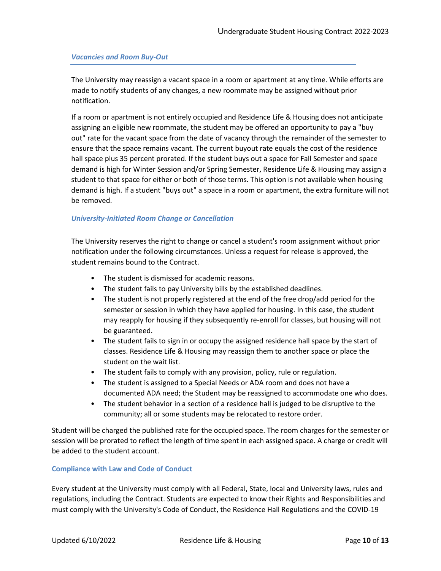# *Vacancies and Room Buy-Out*

The University may reassign a vacant space in a room or apartment at any time. While efforts are made to notify students of any changes, a new roommate may be assigned without prior notification.

If a room or apartment is not entirely occupied and Residence Life & Housing does not anticipate assigning an eligible new roommate, the student may be offered an opportunity to pay a "buy out" rate for the vacant space from the date of vacancy through the remainder of the semester to ensure that the space remains vacant. The current buyout rate equals the cost of the residence hall space plus 35 percent prorated. If the student buys out a space for Fall Semester and space demand is high for Winter Session and/or Spring Semester, Residence Life & Housing may assign a student to that space for either or both of those terms. This option is not available when housing demand is high. If a student "buys out" a space in a room or apartment, the extra furniture will not be removed.

# *University-Initiated Room Change or Cancellation*

The University reserves the right to change or cancel a student's room assignment without prior notification under the following circumstances. Unless a request for release is approved, the student remains bound to the Contract.

- The student is dismissed for academic reasons.
- The student fails to pay University bills by the established deadlines.
- The student is not properly registered at the end of the free drop/add period for the semester or session in which they have applied for housing. In this case, the student may reapply for housing if they subsequently re-enroll for classes, but housing will not be guaranteed.
- The student fails to sign in or occupy the assigned residence hall space by the start of classes. Residence Life & Housing may reassign them to another space or place the student on the wait list.
- The student fails to comply with any provision, policy, rule or regulation.
- The student is assigned to a Special Needs or ADA room and does not have a documented ADA need; the Student may be reassigned to accommodate one who does.
- The student behavior in a section of a residence hall is judged to be disruptive to the community; all or some students may be relocated to restore order.

Student will be charged the published rate for the occupied space. The room charges for the semester or session will be prorated to reflect the length of time spent in each assigned space. A charge or credit will be added to the student account.

# **Compliance with Law and Code of Conduct**

Every student at the University must comply with all Federal, State, local and University laws, rules and regulations, including the Contract. Students are expected to know their Rights and Responsibilities and must comply with the University's Code of Conduct, the Residence Hall Regulations and the COVID-19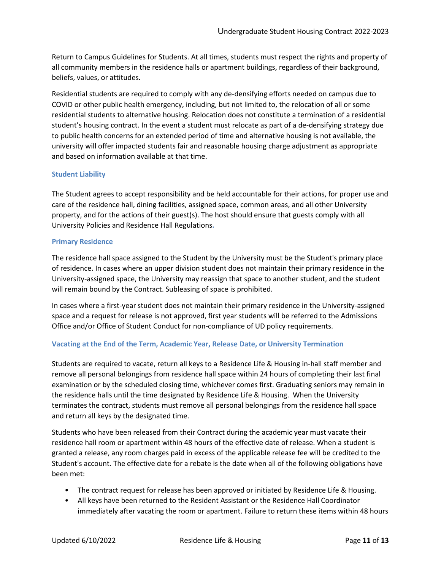Return to Campus Guidelines for Students. At all times, students must respect the rights and property of all community members in the residence halls or apartment buildings, regardless of their background, beliefs, values, or attitudes.

Residential students are required to comply with any de-densifying efforts needed on campus due to COVID or other public health emergency, including, but not limited to, the relocation of all or some residential students to alternative housing. Relocation does not constitute a termination of a residential student's housing contract. In the event a student must relocate as part of a de-densifying strategy due to public health concerns for an extended period of time and alternative housing is not available, the university will offer impacted students fair and reasonable housing charge adjustment as appropriate and based on information available at that time.

# **Student Liability**

The Student agrees to accept responsibility and be held accountable for their actions, for proper use and care of the residence hall, dining facilities, assigned space, common areas, and all other University property, and for the actions of their guest(s). The host should ensure that guests comply with all University Policies and Residence Hall Regulations**.**

## **Primary Residence**

The residence hall space assigned to the Student by the University must be the Student's primary place of residence. In cases where an upper division student does not maintain their primary residence in the University-assigned space, the University may reassign that space to another student, and the student will remain bound by the Contract. Subleasing of space is prohibited.

In cases where a first-year student does not maintain their primary residence in the University-assigned space and a request for release is not approved, first year students will be referred to the Admissions Office and/or Office of Student Conduct for non-compliance of UD policy requirements.

# **Vacating at the End of the Term, Academic Year, Release Date, or University Termination**

Students are required to vacate, return all keys to a Residence Life & Housing in-hall staff member and remove all personal belongings from residence hall space within 24 hours of completing their last final examination or by the scheduled closing time, whichever comes first. Graduating seniors may remain in the residence halls until the time designated by Residence Life & Housing. When the University terminates the contract, students must remove all personal belongings from the residence hall space and return all keys by the designated time.

Students who have been released from their Contract during the academic year must vacate their residence hall room or apartment within 48 hours of the effective date of release. When a student is granted a release, any room charges paid in excess of the applicable release fee will be credited to the Student's account. The effective date for a rebate is the date when all of the following obligations have been met:

- The contract request for release has been approved or initiated by Residence Life & Housing.
- All keys have been returned to the Resident Assistant or the Residence Hall Coordinator immediately after vacating the room or apartment. Failure to return these items within 48 hours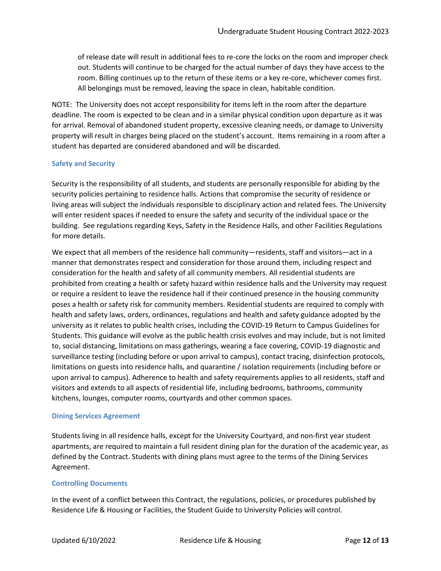of release date will result in additional fees to re-core the locks on the room and improper check out. Students will continue to be charged for the actual number of days they have access to the room. Billing continues up to the return of these items or a key re-core, whichever comes first. All belongings must be removed, leaving the space in clean, habitable condition.

NOTE: The University does not accept responsibility for items left in the room after the departure deadline. The room is expected to be clean and in a similar physical condition upon departure as it was for arrival. Removal of abandoned student property, excessive cleaning needs, or damage to University property will result in charges being placed on the student's account. Items remaining in a room after a student has departed are considered abandoned and will be discarded.

# **Safety and Security**

Security is the responsibility of all students, and students are personally responsible for abiding by the security policies pertaining to residence halls. Actions that compromise the security of residence or living areas will subject the individuals responsible to disciplinary action and related fees. The University will enter resident spaces if needed to ensure the safety and security of the individual space or the building. See regulations regarding Keys, Safety in the Residence Halls, and other Facilities Regulations for more details.

We expect that all members of the residence hall community—residents, staff and visitors—act in a manner that demonstrates respect and consideration for those around them, including respect and consideration for the health and safety of all community members. All residential students are prohibited from creating a health or safety hazard within residence halls and the University may request or require a resident to leave the residence hall if their continued presence in the housing community poses a health or safety risk for community members. Residential students are required to comply with health and safety laws, orders, ordinances, regulations and health and safety guidance adopted by the university as it relates to public health crises, including the COVID-19 Return to Campus Guidelines for Students. This guidance will evolve as the public health crisis evolves and may include, but is not limited to, social distancing, limitations on mass gatherings, wearing a face covering, COVID-19 diagnostic and surveillance testing (including before or upon arrival to campus), contact tracing, disinfection protocols, limitations on guests into residence halls, and quarantine / isolation requirements (including before or upon arrival to campus). Adherence to health and safety requirements applies to all residents, staff and visitors and extends to all aspects of residential life, including bedrooms, bathrooms, community kitchens, lounges, computer rooms, courtyards and other common spaces.

#### **Dining Services Agreement**

Students living in all residence halls, except for the University Courtyard, and non-first year student apartments, are required to maintain a full resident dining plan for the duration of the academic year, as defined by the Contract. Students with dining plans must agree to the terms of the Dining Services Agreement.

# **Controlling Documents**

In the event of a conflict between this Contract, the regulations, policies, or procedures published by Residence Life & Housing or Facilities, the Student Guide to University Policies will control.